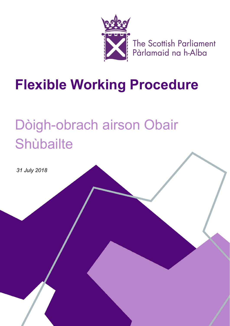

The Scottish Parliament<br>Pàrlamaid na h-Alba

# **Flexible Working Procedure**

# Dòigh-obrach airson Obair **Shùbailte**

*31 July 2018*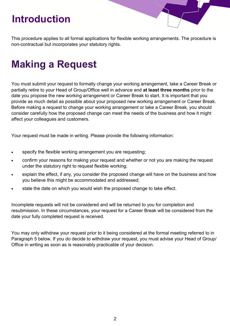#### **Introduction**

This procedure applies to all formal applications for flexible working arrangements. The procedure is non-contractual but incorporates your statutory rights.

### **Making a Request**

You must submit your request to formally change your working arrangement, take a Career Break or partially retire to your Head of Group/Office well in advance and **at least three months** prior to the date you propose the new working arrangement or Career Break to start. It is important that you provide as much detail as possible about your proposed new working arrangement or Career Break. Before making a request to change your working arrangement or take a Career Break, you should consider carefully how the proposed change can meet the needs of the business and how it might affect your colleagues and customers.

Your request must be made in writing. Please provide the following information:

- specify the flexible working arrangement you are requesting;
- confirm your reasons for making your request and whether or not you are making the request under the statutory right to request flexible working;
- explain the effect, if any, you consider the proposed change will have on the business and how you believe this might be accommodated and addressed;
- state the date on which you would wish the proposed change to take effect.

Incomplete requests will not be considered and will be returned to you for completion and resubmission. In these circumstances, your request for a Career Break will be considered from the date your fully completed request is received.

You may only withdraw your request prior to it being considered at the formal meeting referred to in Paragraph 5 below. If you do decide to withdraw your request, you must advise your Head of Group/ Office in writing as soon as is reasonably practicable of your decision.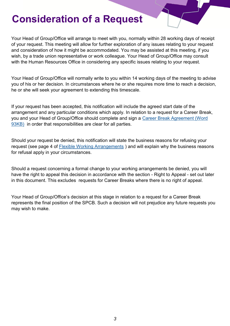#### **Consideration of a Request**

Your Head of Group/Office will arrange to meet with you, normally within 28 working days of receipt of your request. This meeting will allow for further exploration of any issues relating to your request and consideration of how it might be accommodated. You may be assisted at this meeting, if you wish, by a trade union representative or work colleague. Your Head of Group/Office may consult with the Human Resources Office in considering any specific issues relating to your request.

Your Head of Group/Office will normally write to you within 14 working days of the meeting to advise you of his or her decision. In circumstances where he or she requires more time to reach a decision, he or she will seek your agreement to extending this timescale.

If your request has been accepted, this notification will include the agreed start date of the arrangement and any particular conditions which apply. In relation to a request for a Career Break, you and your Head of Group/Office should complete and sign a [Career Break Agreement \(Word](http://hr/documents/Administration/OD%20Team%20Management/Work%20streams/Staff%20handbook/Documents%20for%20writing%20handbook/Policies%20for%20Policy%20Bank/Documents%20linked%20into%20policy%20PDFs/Career_Break_Agreement.doc?Web=1)  [93KB\)](http://hr/documents/Administration/OD%20Team%20Management/Work%20streams/Staff%20handbook/Documents%20for%20writing%20handbook/Policies%20for%20Policy%20Bank/Documents%20linked%20into%20policy%20PDFs/Career_Break_Agreement.doc?Web=1) in order that responsibilities are clear for all parties.

Should your request be denied, this notification will state the business reasons for refusing your request (see page 4 of [Flexible Working Arrangements](https://docs.wixstatic.com/ugd/7a9833_e1b7c54ea1db4094b388d7199687510d.pdf) ) and will explain why the business reasons for refusal apply in your circumstances.

Should a request concerning a formal change to your working arrangements be denied, you will have the right to appeal this decision in accordance with the section - Right to Appeal - set out later in this document. This excludes requests for Career Breaks where there is no right of appeal.

Your Head of Group/Office's decision at this stage in relation to a request for a Career Break represents the final position of the SPCB. Such a decision will not prejudice any future requests you may wish to make.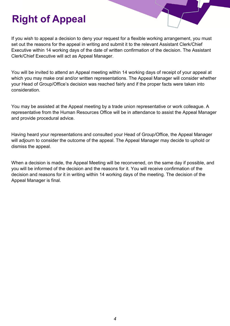## **Right of Appeal**

If you wish to appeal a decision to deny your request for a flexible working arrangement, you must set out the reasons for the appeal in writing and submit it to the relevant Assistant Clerk/Chief Executive within 14 working days of the date of written confirmation of the decision. The Assistant Clerk/Chief Executive will act as Appeal Manager.

You will be invited to attend an Appeal meeting within 14 working days of receipt of your appeal at which you may make oral and/or written representations. The Appeal Manager will consider whether your Head of Group/Office's decision was reached fairly and if the proper facts were taken into consideration.

You may be assisted at the Appeal meeting by a trade union representative or work colleague. A representative from the Human Resources Office will be in attendance to assist the Appeal Manager and provide procedural advice.

Having heard your representations and consulted your Head of Group/Office, the Appeal Manager will adjourn to consider the outcome of the appeal. The Appeal Manager may decide to uphold or dismiss the appeal.

When a decision is made, the Appeal Meeting will be reconvened, on the same day if possible, and you will be informed of the decision and the reasons for it. You will receive confirmation of the decision and reasons for it in writing within 14 working days of the meeting. The decision of the Appeal Manager is final.